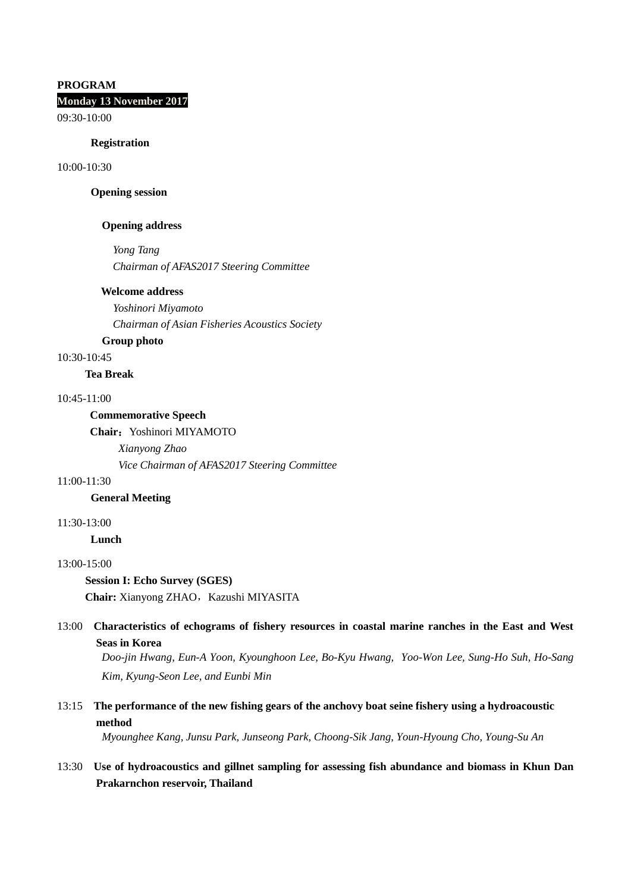# **PROGRAM Monday 13 November 2017**

09:30-10:00

#### **Registration**

10:00-10:30

# **Opening session**

### **Opening address**

*Yong Tang*

*Chairman of AFAS2017 Steering Committee* 

### **Welcome address**

*Yoshinori Miyamoto Chairman of Asian Fisheries Acoustics Society*

# **Group photo**

10:30-10:45

# **Tea Break**

# 10:45-11:00

### **Commemorative Speech**

Chair: Yoshinori MIYAMOTO

*Xianyong Zhao*

*Vice Chairman of AFAS2017 Steering Committee*

### 11:00-11:30

**General Meeting**

#### 11:30-13:00

**Lunch**

# 13:00-15:00

**Session I: Echo Survey (SGES)**

**Chair:** Xianyong ZHAO, Kazushi MIYASITA

# 13:00 **Characteristics of echograms of fishery resources in coastal marine ranches in the East and West Seas in Korea**

*Doo-jin Hwang, Eun-A Yoon, Kyounghoon Lee, Bo-Kyu Hwang, Yoo-Won Lee, Sung-Ho Suh, Ho-Sang Kim, Kyung-Seon Lee, and Eunbi Min*

# 13:15 **The performance of the new fishing gears of the anchovy boat seine fishery using a hydroacoustic method**

*Myounghee Kang, Junsu Park, Junseong Park, Choong-Sik Jang, Youn-Hyoung Cho, Young-Su An* 

# 13:30 **Use of hydroacoustics and gillnet sampling for assessing fish abundance and biomass in Khun Dan Prakarnchon reservoir, Thailand**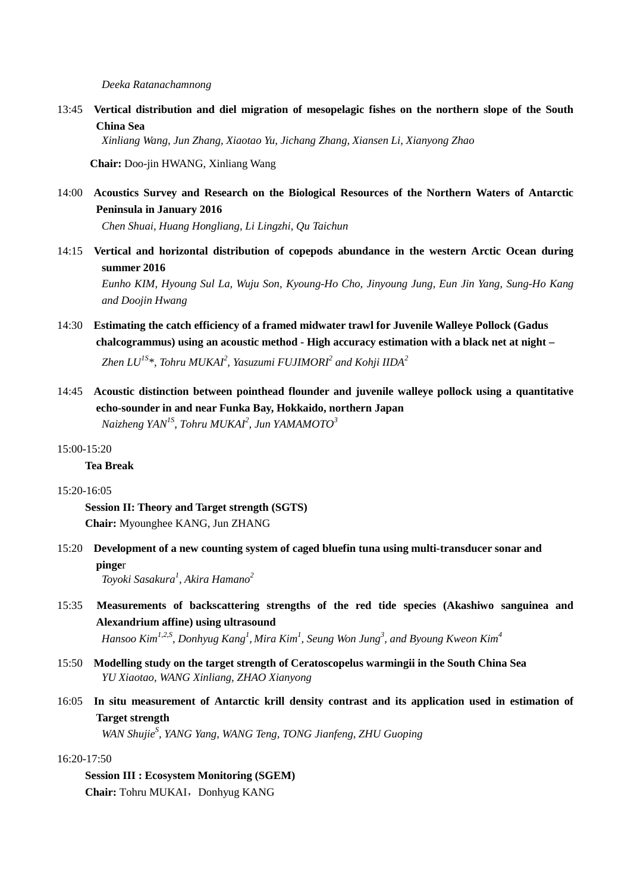*Deeka Ratanachamnong*

13:45 **Vertical distribution and diel migration of mesopelagic fishes on the northern slope of the South China Sea**

*Xinliang Wang, Jun Zhang, Xiaotao Yu, Jichang Zhang, Xiansen Li, Xianyong Zhao*

**Chair:** Doo-jin HWANG, Xinliang Wang

14:00 **Acoustics Survey and Research on the Biological Resources of the Northern Waters of Antarctic Peninsula in January 2016**

*Chen Shuai, Huang Hongliang, Li Lingzhi, Qu Taichun* 

14:15 **Vertical and horizontal distribution of copepods abundance in the western Arctic Ocean during summer 2016**

*Eunho KIM, Hyoung Sul La, Wuju Son, Kyoung-Ho Cho, Jinyoung Jung, Eun Jin Yang, Sung-Ho Kang and Doojin Hwang*

- 14:30 **Estimating the catch efficiency of a framed midwater trawl for Juvenile Walleye Pollock (Gadus chalcogrammus) using an acoustic method - High accuracy estimation with a black net at night –** *Zhen LU1S\*, Tohru MUKAI2 , Yasuzumi FUJIMORI2 and Kohji IIDA<sup>2</sup>*
- 14:45 **Acoustic distinction between pointhead flounder and juvenile walleye pollock using a quantitative echo-sounder in and near Funka Bay, Hokkaido, northern Japan** *Naizheng YAN1S, Tohru MUKAI2 , Jun YAMAMOTO<sup>3</sup>*

### $15:00-15:20$

#### **Tea Break**

#### 15:20-16:05

**Session II: Theory and Target strength (SGTS) Chair:** Myounghee KANG, Jun ZHANG

15:20 **Development of a new counting system of caged bluefin tuna using multi-transducer sonar and pinge**r

*Toyoki Sasakura<sup>1</sup> , Akira Hamano<sup>2</sup>*

15:35 **Measurements of backscattering strengths of the red tide species (Akashiwo sanguinea and Alexandrium affine) using ultrasound**

*Hansoo Kim1,2,S, Donhyug Kang1 , Mira Kim<sup>1</sup> , Seung Won Jung3 , and Byoung Kweon Kim<sup>4</sup>*

- 15:50 **Modelling study on the target strength of Ceratoscopelus warmingii in the South China Sea** *YU Xiaotao, WANG Xinliang, ZHAO Xianyong*
- 16:05 **In situ measurement of Antarctic krill density contrast and its application used in estimation of Target strength**

WAN Shujie<sup>S</sup>, YANG Yang, WANG Teng, TONG Jianfeng, ZHU Guoping

# 16:20-17:50

**Session III : Ecosystem Monitoring (SGEM) Chair:** Tohru MUKAI, Donhyug KANG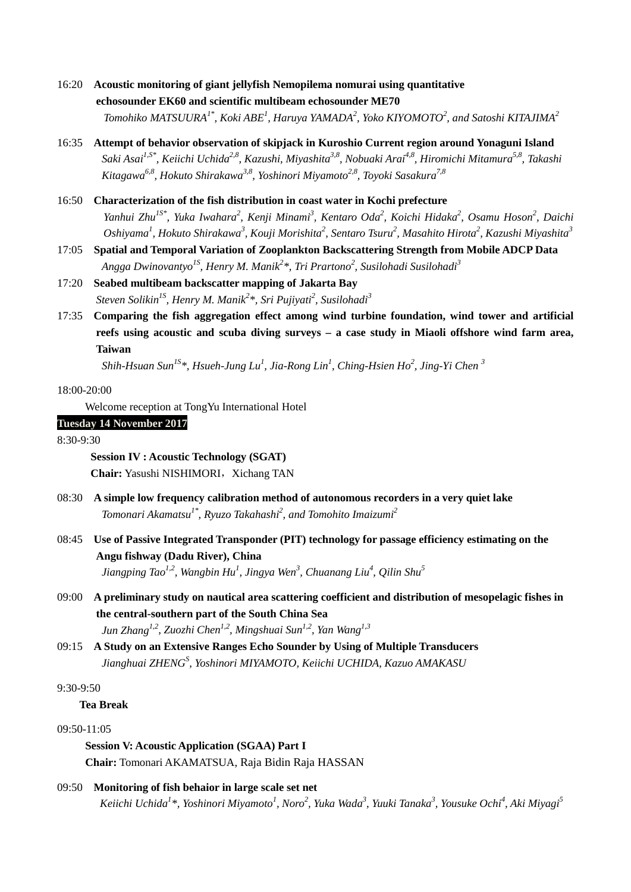- 16:20 **Acoustic monitoring of giant jellyfish Nemopilema nomurai using quantitative echosounder EK60 and scientific multibeam echosounder ME70** *Tomohiko MATSUURA1\*, Koki ABE1 , Haruya YAMADA<sup>2</sup> , Yoko KIYOMOTO<sup>2</sup> , and Satoshi KITAJIMA<sup>2</sup>*
- 16:35 **Attempt of behavior observation of skipjack in Kuroshio Current region around Yonaguni Island** *Saki Asai1,S\*, Keiichi Uchida2,8, Kazushi, Miyashita3,8, Nobuaki Arai4,8, Hiromichi Mitamura5,8, Takashi Kitagawa6,8, Hokuto Shirakawa3,8, Yoshinori Miyamoto2,8, Toyoki Sasakura7,8*
- 16:50 **Characterization of the fish distribution in coast water in Kochi prefecture** Yanhui Zhu<sup>1S\*</sup>, Yuka Iwahara<sup>2</sup>, Kenji Minami<sup>3</sup>, Kentaro Oda<sup>2</sup>, Koichi Hidaka<sup>2</sup>, Osamu Hoson<sup>2</sup>, Daichi  $O$ shiyama<sup>1</sup>, Hokuto Shirakawa<sup>3</sup>, Kouji Morishita<sup>2</sup>, Sentaro Tsuru<sup>2</sup>, Masahito Hirota<sup>2</sup>, Kazushi Miyashita<sup>3</sup>
- 17:05 **Spatial and Temporal Variation of Zooplankton Backscattering Strength from Mobile ADCP Data**  *Angga Dwinovantyo1S, Henry M. Manik2 \*, Tri Prartono<sup>2</sup> , Susilohadi Susilohadi3*
- 17:20 **Seabed multibeam backscatter mapping of Jakarta Bay** *Steven Solikin1S, Henry M. Manik2 \*, Sri Pujiyati2 , Susilohadi3*
- 17:35 **Comparing the fish aggregation effect among wind turbine foundation, wind tower and artificial reefs using acoustic and scuba diving surveys – a case study in Miaoli offshore wind farm area, Taiwan**

 *Shih-Hsuan Sun1S \*, Hsueh-Jung Lu1 , Jia-Rong Lin1 , Ching-Hsien Ho<sup>2</sup> , Jing-Yi Chen 3*

# 18:00-20:00

Welcome reception at TongYu International Hotel

# **Tuesday 14 November 2017**

8:30-9:30

**Session IV : Acoustic Technology (SGAT) Chair:** Yasushi NISHIMORI, Xichang TAN

- 08:30 **A simple low frequency calibration method of autonomous recorders in a very quiet lake** *Tomonari Akamatsu1\*, Ryuzo Takahashi2 , and Tomohito Imaizumi2*
- 08:45 **Use of Passive Integrated Transponder (PIT) technology for passage efficiency estimating on the Angu fishway (Dadu River), China** *Jiangping Tao1,2, Wangbin Hu1 , Jingya Wen<sup>3</sup> , Chuanang Liu4 , Qilin Shu5*
- 09:00 **A preliminary study on nautical area scattering coefficient and distribution of mesopelagic fishes in the central-southern part of the South China Sea** *Jun Zhang1,2, Zuozhi Chen1,2, Mingshuai Sun1,2, Yan Wang1,3*
- 09:15 **A Study on an Extensive Ranges Echo Sounder by Using of Multiple Transducers** *Jianghuai ZHENG<sup>S</sup> , Yoshinori MIYAMOTO, Keiichi UCHIDA, Kazuo AMAKASU*

# 9:30-9:50

# **Tea Break**

# 09:50-11:05

**Session V: Acoustic Application (SGAA) Part I Chair:** Tomonari AKAMATSUA, Raja Bidin Raja HASSAN

09:50 **Monitoring of fish behaior in large scale set net**  $K$ eiichi Uchida<sup>1</sup>\*, Yoshinori Miyamoto<sup>1</sup>, Noro<sup>2</sup>, Yuka Wada<sup>3</sup>, Yuuki Tanaka<sup>3</sup>, Yousuke Ochi<sup>4</sup>, Aki Miyagi<sup>5</sup>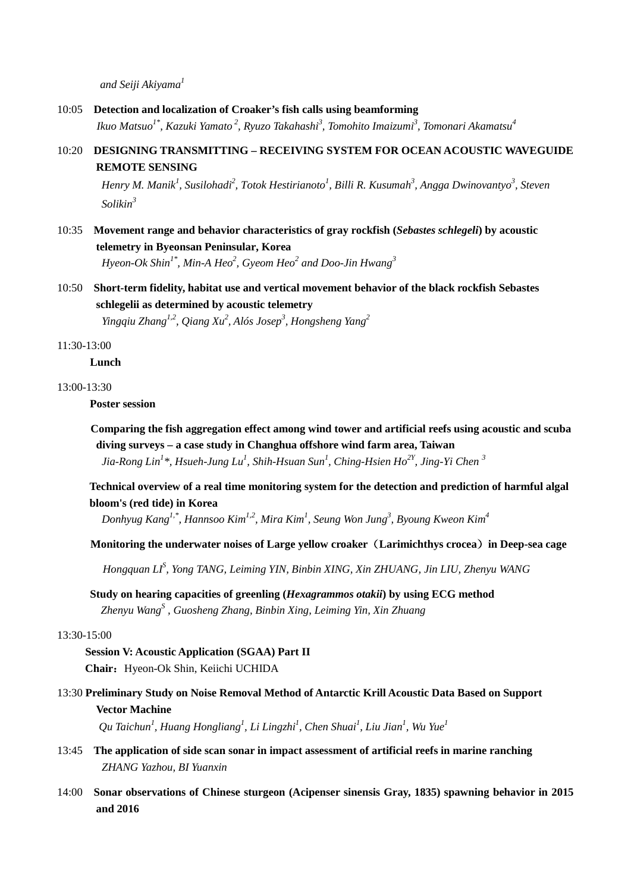*and Seiji Akiyama1*

- 10:05 **Detection and localization of Croaker's fish calls using beamforming** *Ikuo Matsuo1\*, Kazuki Yamato <sup>2</sup> , Ryuzo Takahashi3 , Tomohito Imaizumi3 , Tomonari Akamatsu4*
- 10:20 **DESIGNING TRANSMITTING – RECEIVING SYSTEM FOR OCEAN ACOUSTIC WAVEGUIDE REMOTE SENSING**

 $H$ enry M. Manik $^1$ , Susilohadi $^2$ , Totok Hestirianoto $^1$ , Billi R. Kusumah $^3$ , Angga Dwinovantyo $^3$ , Steven *Solikin3*

10:35 **Movement range and behavior characteristics of gray rockfish (***Sebastes schlegeli***) by acoustic telemetry in Byeonsan Peninsular, Korea**

*Hyeon-Ok Shin1\*, Min-A Heo2 , Gyeom Heo<sup>2</sup> and Doo-Jin Hwang3*

10:50 **Short-term fidelity, habitat use and vertical movement behavior of the black rockfish Sebastes schlegelii as determined by acoustic telemetry**

*Yingqiu Zhang1,2, Qiang Xu2 , Alós Josep<sup>3</sup> , Hongsheng Yang2*

11:30-13:00

### **Lunch**

### 13:00-13:30

**Poster session**

 **Comparing the fish aggregation effect among wind tower and artificial reefs using acoustic and scuba diving surveys – a case study in Changhua offshore wind farm area, Taiwan** *Jia-Rong Lin1 \*, Hsueh-Jung Lu1 , Shih-Hsuan Sun<sup>1</sup> , Ching-Hsien Ho2Y, Jing-Yi Chen 3*

**Technical overview of a real time monitoring system for the detection and prediction of harmful algal bloom's (red tide) in Korea**

*Donhyug Kang1,\*, Hannsoo Kim1,2, Mira Kim1 , Seung Won Jung<sup>3</sup> , Byoung Kweon Kim4*

**Monitoring the underwater noises of Large yellow croaker**(**Larimichthys crocea**)**in Deep-sea cage**

 *Hongquan LIS , Yong TANG, Leiming YIN, Binbin XING, Xin ZHUANG, Jin LIU, Zhenyu WANG*

**Study on hearing capacities of greenling (***Hexagrammos otakii***) by using ECG method** *Zhenyu WangS , Guosheng Zhang, Binbin Xing, Leiming Yin, Xin Zhuang*

13:30-15:00

**Session V: Acoustic Application (SGAA) Part II** Chair: Hyeon-Ok Shin, Keiichi UCHIDA

13:30 **Preliminary Study on Noise Removal Method of Antarctic Krill Acoustic Data Based on Support Vector Machine**

 $Qu$  Taichun<sup>1</sup>, Huang Hongliang<sup>1</sup>, Li Lingzhi<sup>1</sup>, Chen Shuai<sup>1</sup>, Liu Jian<sup>1</sup>, Wu Yue<sup>1</sup>

- 13:45 **The application of side scan sonar in impact assessment of artificial reefs in marine ranching** *ZHANG Yazhou, BI Yuanxin*
- 14:00 **Sonar observations of Chinese sturgeon (Acipenser sinensis Gray, 1835) spawning behavior in 2015 and 2016**